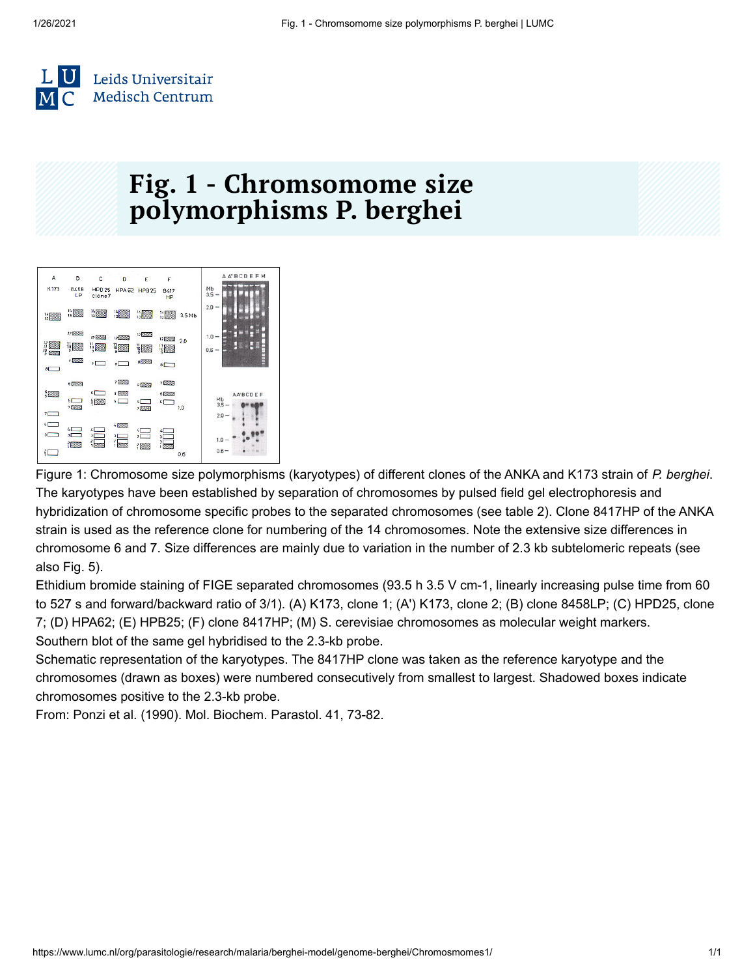

## **Fig. 1 - Chromsomome size polymorphisms P. berghei**



Figure 1: Chromosome size polymorphisms (karyotypes) of different clones of the ANKA and K173 strain of *P. berghei*. The karyotypes have been established by separation of chromosomes by pulsed field gel electrophoresis and hybridization of chromosome specific probes to the separated chromosomes (see table 2). Clone 8417HP of the ANKA strain is used as the reference clone for numbering of the 14 chromosomes. Note the extensive size differences in chromosome 6 and 7. Size differences are mainly due to variation in the number of 2.3 kb subtelomeric repeats (see also Fig. 5).

Ethidium bromide staining of FIGE separated chromosomes (93.5 h 3.5 V cm-1, linearly increasing pulse time from 60 to 527 s and forward/backward ratio of 3/1). (A) K173, clone 1; (A') K173, clone 2; (B) clone 8458LP; (C) HPD25, clone 7; (D) HPA62; (E) HPB25; (F) clone 8417HP; (M) S. cerevisiae chromosomes as molecular weight markers. Southern blot of the same gel hybridised to the 2.3-kb probe.

Schematic representation of the karyotypes. The 8417HP clone was taken as the reference karyotype and the chromosomes (drawn as boxes) were numbered consecutively from smallest to largest. Shadowed boxes indicate chromosomes positive to the 2.3-kb probe.

From: Ponzi et al. (1990). Mol. Biochem. Parastol. 41, 73-82.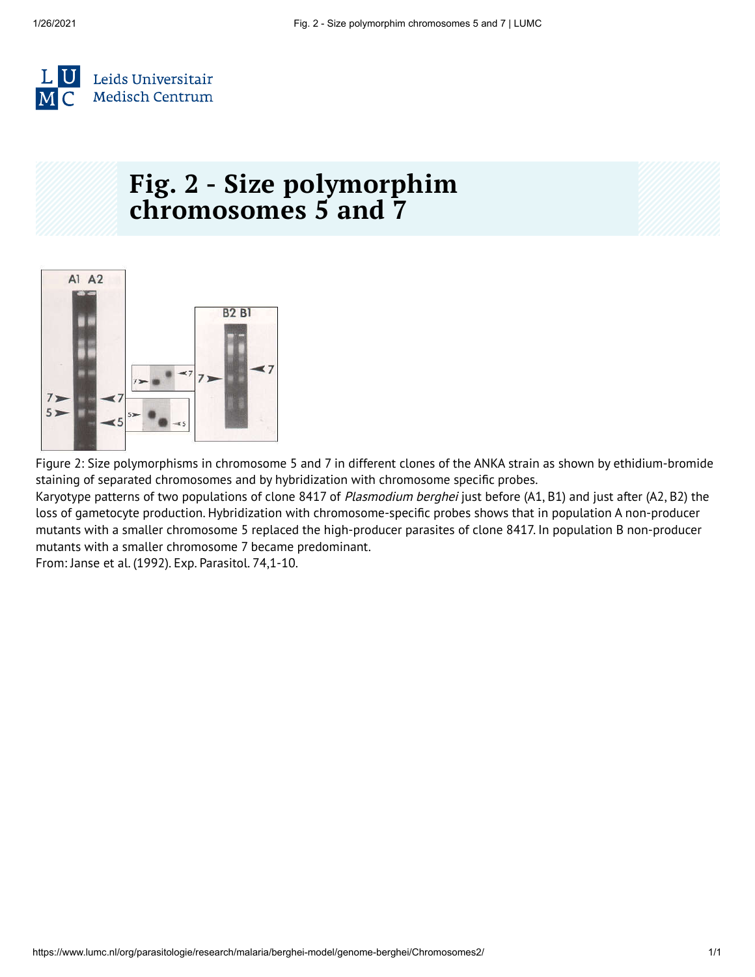

# **Fig. 2 - Size polymorphim chromosomes 5 and 7**



Figure 2: Size polymorphisms in chromosome 5 and 7 in different clones of the ANKA strain as shown by ethidium-bromide staining of separated chromosomes and by hybridization with chromosome specific probes.

Karyotype patterns of two populations of clone 8417 of Plasmodium berghei just before (A1, B1) and just after (A2, B2) the loss of gametocyte production. Hybridization with chromosome-specific probes shows that in population A non-producer mutants with a smaller chromosome 5 replaced the high-producer parasites of clone 8417. In population B non-producer mutants with a smaller chromosome 7 became predominant.

From: Janse et al. (1992). Exp. Parasitol. 74,1-10.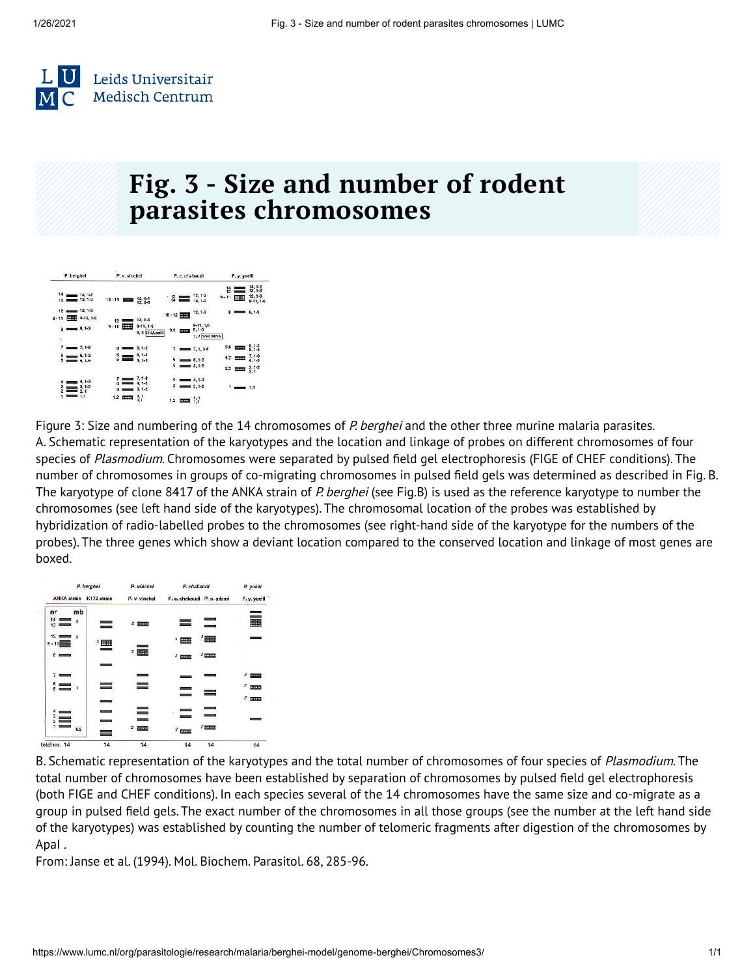

### **Fig. 3 - Size and number of rodent parasites chromosomes**

| P. berghei            |                  |                             | P. v. vinckci   |                        |                                  | P. c. chabaudi |                                   |                                        |                          | P. y. yoelil |                                                               |  |
|-----------------------|------------------|-----------------------------|-----------------|------------------------|----------------------------------|----------------|-----------------------------------|----------------------------------------|--------------------------|--------------|---------------------------------------------------------------|--|
| 14<br>13 <sup>1</sup> |                  | $- 14, 1-2$<br>$13, 1-3$    | $13 - 14$ 20000 |                        | $\frac{14}{13}$ , $\frac{1}{13}$ |                | $\frac{13}{14}$                   | $13, 1-3$<br>$14.1 - 2$                | $^{14}_{13}$<br>$9 - 11$ | E            | $\frac{14}{13}$ , $\frac{12}{13}$<br>$12, 1-3$<br>$9-11, 1-6$ |  |
| $9 - 11$              |                  | $12 = 12, 1-3$<br>9-11, 1-6 | 12 <sup>1</sup> |                        | 12, 1-3                          | $10 - 12$      |                                   | $12, 1-3$                              | 8 <sub>1</sub>           |              | $= 8,1-3$                                                     |  |
| ī,                    | $8 \equiv 8,1-3$ |                             | $9 - 11$        | <b>SHIFT</b>           | $9-11, 1-6$<br>8, 3 RNApolli     |                | 8.9 mmm                           | $9-11, 1, 6$<br>8, 1-3<br>7, 2 SSUrRNA |                          |              |                                                               |  |
| 7                     |                  | $- 7, 1-6$                  |                 | $-$                    | $8, 1-2$                         |                |                                   | $7, 1, 3-6$                            |                          | 5,6 20000    | 5.13                                                          |  |
| 6                     | $5 = 5,1-5$      | $-6.1-3$                    |                 | $\frac{6}{5}$ $\equiv$ | $8, 1 - 3$<br>$5, 1-5$           |                | $6 = 6,1-3$                       |                                        |                          | 4.7 2022     | $\frac{7}{4}$ , 1-8                                           |  |
|                       |                  |                             |                 |                        |                                  |                | $5 = 5,1-5$                       |                                        |                          | $2,3$ most   | $\frac{3}{2}$ <sup>1-2</sup>                                  |  |
| 4<br>$\frac{3}{2}$    |                  | $4.1-3$<br>$3, 1-2$<br>2.1  |                 | $3 \equiv 3, 1-2$      | $7, 1 - 6$<br>$4, 1 - 3$         |                | $4 = 4.13$<br>$3 \equiv 3, 1-2$   |                                        |                          | $1 - 11$     |                                                               |  |
|                       |                  | 1,1                         |                 | 1.2 mm                 | $^{2,1}_{1,1}$                   |                | $1,2$ $\frac{1}{2}$ $\frac{2}{1}$ |                                        |                          |              |                                                               |  |

Figure 3: Size and numbering of the 14 chromosomes of P. berghei and the other three murine malaria parasites. A. Schematic representation of the karyotypes and the location and linkage of probes on different chromosomes of four species of Plasmodium. Chromosomes were separated by pulsed field gel electrophoresis (FIGE of CHEF conditions). The number of chromosomes in groups of co-migrating chromosomes in pulsed field gels was determined as described in Fig. B. The karyotype of clone 8417 of the ANKA strain of P. berghei (see Fig.B) is used as the reference karyotype to number the chromosomes (see left hand side of the karyotypes). The chromosomal location of the probes was established by hybridization of radio-labelled probes to the chromosomes (see right-hand side of the karyotype for the numbers of the probes). The three genes which show a deviant location compared to the conserved location and linkage of most genes are boxed.



B. Schematic representation of the karyotypes and the total number of chromosomes of four species of Plasmodium. The total number of chromosomes have been established by separation of chromosomes by pulsed field gel electrophoresis (both FIGE and CHEF conditions). In each species several of the 14 chromosomes have the same size and co-migrate as a group in pulsed field gels. The exact number of the chromosomes in all those groups (see the number at the left hand side of the karyotypes) was established by counting the number of telomeric fragments after digestion of the chromosomes by ApaI .

From: Janse et al. (1994). Mol. Biochem. Parasitol. 68, 285-96.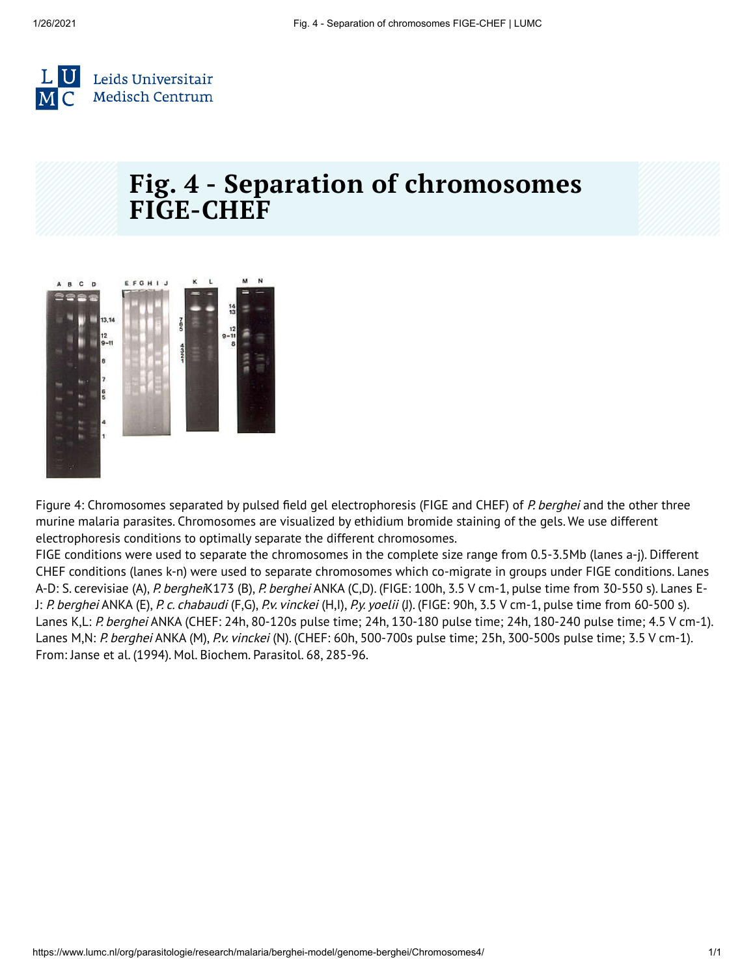

#### **Fig. 4 - Separation of chromosomes FIGE-CHEF**



Figure 4: Chromosomes separated by pulsed field gel electrophoresis (FIGE and CHEF) of P. berghei and the other three murine malaria parasites. Chromosomes are visualized by ethidium bromide staining of the gels. We use different electrophoresis conditions to optimally separate the different chromosomes.

FIGE conditions were used to separate the chromosomes in the complete size range from 0.5-3.5Mb (lanes a-j). Different CHEF conditions (lanes k-n) were used to separate chromosomes which co-migrate in groups under FIGE conditions. Lanes A-D: S. cerevisiae (A), P. bergheiK173 (B), P. berghei ANKA (C,D). (FIGE: 100h, 3.5 V cm-1, pulse time from 30-550 s). Lanes E-J: P. berghei ANKA (E), P. c. chabaudi (F,G), P.v. vinckei (H,I), P.y. yoelii (J). (FIGE: 90h, 3.5 V cm-1, pulse time from 60-500 s). Lanes K,L: P. berghei ANKA (CHEF: 24h, 80-120s pulse time; 24h, 130-180 pulse time; 24h, 180-240 pulse time; 4.5 V cm-1). Lanes M,N: P. berghei ANKA (M), P.v. vinckei (N). (CHEF: 60h, 500-700s pulse time; 25h, 300-500s pulse time; 3.5 V cm-1). From: Janse et al. (1994). Mol. Biochem. Parasitol. 68, 285-96.